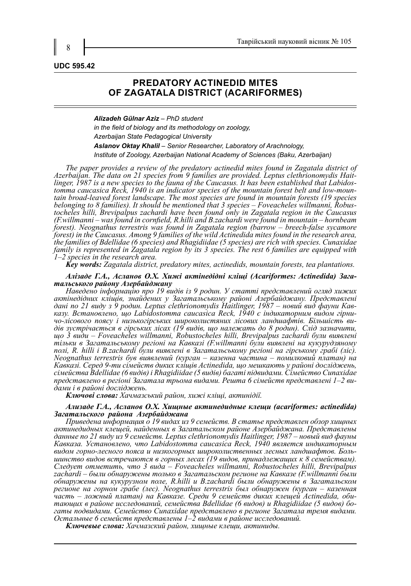#### **UDC 595.42**

## **PREDATORY ACTINEDID MITES OF ZAGATALA DISTRICT (ACARIFORMES)**

*Alizadeh Gülnar Aziz – PhD student in the field of biology and its methodology on zoology, Azerbaijan State Pedagogical University Aslanov Oktay Khalil – Senior Researcher, Laboratory of Arachnology, Institute of Zoology, Azerbaijan National Academy of Sciences (Baku, Azerbaijan)*

*The paper provides a review of the predatory actinedid mites found in Zagatala district of*  Azerbaijan. The data on 21 species from 9 families are provided. Leptus clethrionomydis Hait-<br>linger, 1987 is a new species to the fauna of the Caucasus. It has been established that Labidos-<br>tomma caucasica Reck, 1940 is *tain broad-leaved forest landscape. The most species are found in mountain forests (19 species belonging to 8 families). It should be mentioned that 3 species – Foveacheles willmanni, Robustocheles hilli, Brevipalpus zach (F.willmanni – was found in cornfield, R.hilli and B.zachardi were found in mountain – hornbeam forest). Neognathus terrestris was found in Zagatala region (barrow – breech-false sycamore forest) in the Caucasus. Among 9 families of the wild Actinedida mites found in the research area, the families of Bdellidae (6 species) and Rhagidiidae (5 species) are rich with species. Cunaxidae family is represented in Zagatala region by its 3 species. The rest 6 families are equipped with 1–2 species in the research area.*

*Key words: Zagatala district, predatory mites, actinedids, mountain forests, tea plantations.*

# *Алізаде Г.А., Асланов О.Х. Хижі актінедідні кліщі (Acariformes: Actinedida) Зага- тальського району Азербайджану*

*Наведено інформацію про 19 видів із 9 родин. У статті представлений огляд хижих актінедідних кліщів, знайдених у Загатальському районі Азербайджану. Представлені*  дані по 21 виду з 9 родин. Leptus clethrionomydis Haitlinger, 1987 – новий вид фауни Кав-<br>казу. Встановлено, що Labidostomma caucasica Reck, 1940 є індикаторним видом гірни-<br>чо-лісового поясу і низькогірських широколистян *що 3 види – Foveacheles willmanni, Robustocheles hilli, Brevipalpus zachardi були виявлені тільки в Загатальському регіоні на Кавказі (F.willmanni були виявлені на кукурудзяному полі, R. hilli і B.zachardi були виявлені в Загатальському регіоні на гірському грабі (ліс). Neognathus terrestris був виявлений (курган – казенна частина – помилковий платан) на Кавказі. Серед 9-ти сімейств диких кліщів Actinedida, що мешкають у районі досліджень, сімейства Bdellidae (6 видів) і Rhagidiidae (5 видів) багаті підвидами. Сімейство Cunaxidae представлено в регіоні Загатала трьома видами. Решта 6 сімейств представлені 1–2 ви- дами і в районі досліджень.*

*Ключові слова: Хачмазський район, хижі кліщі, актинідії.*

#### *Ализаде Г.А., Асланов О.Х. Хищные актинедидные клещи (acariformes: actinedida) Загатальского района Азербайджана*

*Приведена информация о 19 видах из 9 семейств. В статье представлен обзор хищных актинедидных клещей, найденных в Загатальском районе Азербайджана. Представлены данные по 21 виду из 9 семейств. Leptus clethrionomydis Haitlinger, 1987 – новый вид фауны Кавказа. Установлено, что Labidostomma caucasica Reck, 1940 является индикаторным видом горно-лесного пояса и низкогорных широколиственных лесных ландшафтов. Боль- шинство видов встречаются в горных лесах (19 видов, принадлежащих к 8 семействам). Следует отметить, что 3 вида – Foveacheles willmanni, Robustocheles hilli, Brevipalpus zachardi – были обнаружены только в Загатальском регионе на Кавказе (F.willmanni были обнаружены на кукурузном поле, R.hilli и B.zachardi были обнаружены в Загатальском регионе на горном грабе (лес). Neognathus terrestris был обнаружен (курган – казенная*  ́часть – ложный платан) на Кавказе. Среди 9 семейств диких клещей ́Actinedida, оби-<br>тающих в районе исследований, семейства Bdellidae (6 видов) и Rhagidiidae (5 видов) бо-<br>гаты подвидами. Семейство Cunaxidae представлено *Остальные 6 семейств представлены 1–2 видами в районе исследований.*

*Ключевые слова: Хачмазский район, хищные клещи, актиниды.*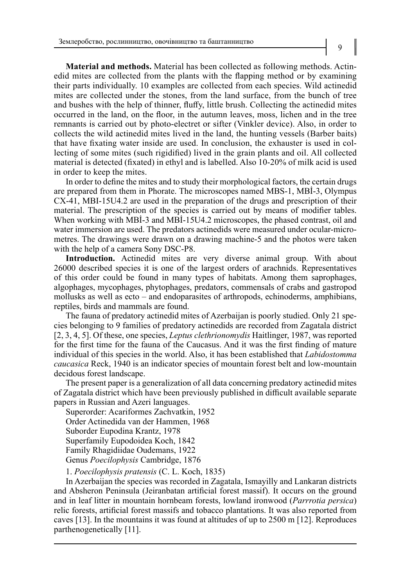**Material and methods.** Material has been collected as following methods. Actinedid mites are collected from the plants with the flapping method or by examining their parts individually. 10 examples are collected from each species. Wild actinedid mites are collected under the stones, from the land surface, from the bunch of tree and bushes with the help of thinner, fluffy, little brush. Collecting the actinedid mites occurred in the land, on the floor, in the autumn leaves, moss, lichen and in the tree remnants is carried out by photo-electret or sifter (Vinkler device). Also, in order to collects the wild actinedid mites lived in the land, the hunting vessels (Barber baits) that have fixating water inside are used. In conclusion, the exhauster is used in collecting of some mites (such rigidified) lived in the grain plants and oil. All collected material is detected (fixated) in ethyl and is labelled. Also 10-20% of milk acid is used in order to keep the mites.

In order to define the mites and to study their morphological factors, the certain drugs are prepared from them in Phorate. The microscopes named MBS-1, MBİ-3, Olympus CX-41, MBI-15U4.2 are used in the preparation of the drugs and prescription of their material. The prescription of the species is carried out by means of modifier tables. When working with MBİ-3 and MBİ-15U4.2 microscopes, the phased contrast, oil and water immersion are used. The predators actinedids were measured under ocular-micrometres. The drawings were drawn on a drawing machine-5 and the photos were taken with the help of a camera Sony DSC-P8.

**Introduction.** Actinedid mites are very diverse animal group. With about 26000 described species it is one of the largest orders of arachnids. Representatives of this order could be found in many types of habitats. Among them saprophages, algophages, mycophages, phytophages, predators, commensals of crabs and gastropod mollusks as well as ecto – and endoparasites of arthropods, echinoderms, amphibians, reptiles, birds and mammals are found.

The fauna of predatory actinedid mites of Azerbaijan is poorly studied. Only 21 species belonging to 9 families of predatory actinedids are recorded from Zagatala district [2, 3, 4, 5]. Of these, one species, *Leptus clethrionomydis* Haitlinger, 1987, was reported for the first time for the fauna of the Caucasus. And it was the first finding of mature individual of this species in the world. Also, it has been established that *Labidostomma caucasica* Reck, 1940 is an indicator species of mountain forest belt and low-mountain decidous forest landscape.

The present paper is a generalization of all data concerning predatory actinedid mites of Zagatala district which have been previously published in difficult available separate papers in Russian and Azeri languages.

Superorder: Acariformes Zachvatkin, 1952 Order Actinedida van der Hammen, 1968 Suborder Eupodina Krantz, 1978 Superfamily Eupodoidea Koch, 1842 Family Rhagidiidae Oudemans, 1922 Genus *Poecilophysis* Cambridge, 1876

1. *Poecilophysis pratensis* (C. L. Koch, 1835)

In Azerbaijan the species was recorded in Zagatala, Ismayilly and Lankaran districts and Absheron Peninsula (Jeiranbatan artificial forest massif). It occurs on the ground and in leaf litter in mountain hornbeam forests, lowland ironwood (*Parrrotia persica*) relic forests, artificial forest massifs and tobacco plantations. It was also reported from caves [13]. In the mountains it was found at altitudes of up to 2500 m [12]. Reproduces parthenogenetically [11].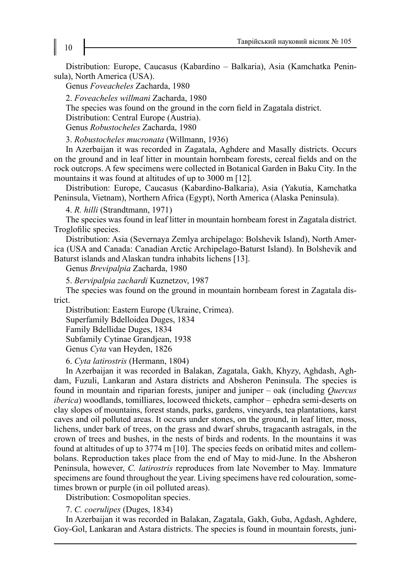Distribution: Europe, Caucasus (Kabardino – Balkaria), Asia (Kamchatka Peninsula), North America (USA).

Genus *Foveacheles* Zacharda, 1980

2. *Foveacheles willmani* Zacharda, 1980

The species was found on the ground in the corn field in Zagatala district.

Distribution: Central Europe (Austria).

Genus *Robustocheles* Zacharda, 1980

3. *Robustocheles mucronata* (Willmann, 1936)

In Azerbaijan it was recorded in Zagatala, Aghdere and Masally districts. Occurs on the ground and in leaf litter in mountain hornbeam forests, cereal fields and on the rock outcrops. A few specimens were collected in Botanical Garden in Baku City. In the mountains it was found at altitudes of up to 3000 m [12].

Distribution: Europe, Caucasus (Kabardino-Balkaria), Asia (Yakutia, Kamchatka Peninsula, Vietnam), Northern Africa (Egypt), North America (Alaska Peninsula).

4. *R. hilli* (Strandtmann, 1971)

The species was found in leaf litter in mountain hornbeam forest in Zagatala district. Troglofilic species.

Distribution: Asia (Severnaya Zemlya archipelago: Bolshevik Island), North America (USA and Canada: Canadian Arctic Archipelago-Baturst Island). In Bolshevik and Baturst islands and Alaskan tundra inhabits lichens [13].

Genus *Brevipalpia* Zacharda, 1980

5. *Bervipalpia zachardi* Kuznetzov, 1987

The species was found on the ground in mountain hornbeam forest in Zagatala district.

Distribution: Eastern Europe (Ukraine, Crimea).

Superfamily Bdelloidea Duges, 1834

Family Bdellidae Duges, 1834

Subfamily Cytinae Grandjean, 1938

Genus *Cyta* van Heyden, 1826

6. *Cyta latirostris* (Hermann, 1804)

In Azerbaijan it was recorded in Balakan, Zagatala, Gakh, Khyzy, Aghdash, Aghdam, Fuzuli, Lankaran and Astara districts and Absheron Peninsula. The species is found in mountain and riparian forests, juniper and juniper – oak (including *Quercus iberica*) woodlands, tomilliares, locoweed thickets, camphor – ephedra semi-deserts on clay slopes of mountains, forest stands, parks, gardens, vineyards, tea plantations, karst caves and oil polluted areas. It occurs under stones, on the ground, in leaf litter, moss, lichens, under bark of trees, on the grass and dwarf shrubs, tragacanth astragals, in the crown of trees and bushes, in the nests of birds and rodents. In the mountains it was found at altitudes of up to 3774 m [10]. The species feeds on oribatid mites and collembolans. Reproduction takes place from the end of May to mid-June. In the Absheron Peninsula, however, *C. latirostris* reproduces from late November to May. Immature specimens are found throughout the year. Living specimens have red colouration, sometimes brown or purple (in oil polluted areas).

Distribution: Cosmopolitan species.

7. *C. coerulipes* (Duges, 1834)

In Azerbaijan it was recorded in Balakan, Zagatala, Gakh, Guba, Agdash, Aghdere, Goy-Gol, Lankaran and Astara districts. The species is found in mountain forests, juni-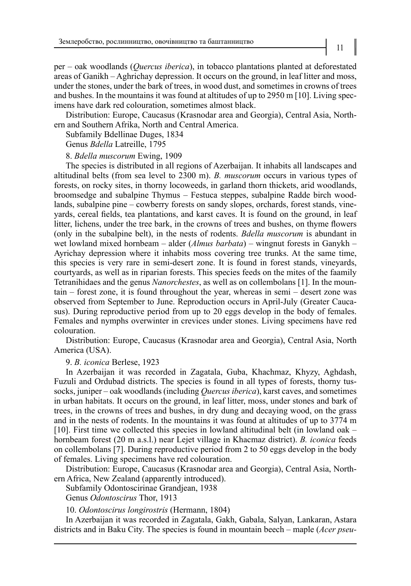per – oak woodlands (*Quercus iberica*), in tobacco plantations planted at deforestated areas of Ganikh – Aghrichay depression. It occurs on the ground, in leaf litter and moss, under the stones, under the bark of trees, in wood dust, and sometimes in crowns of trees and bushes. In the mountains it was found at altitudes of up to 2950 m [10]. Living specimens have dark red colouration, sometimes almost black.

Distribution: Europe, Caucasus (Krasnodar area and Georgia), Central Asia, Northern and Southern Afrika, North and Central America.

Subfamily Bdellinae Duges, 1834

Genus *Bdella* Latreille, 1795

## 8. *Bdella muscorum* Ewing, 1909

The species is distributed in all regions of Azerbaijan. It inhabits all landscapes and altitudinal belts (from sea level to 2300 m). *B. muscorum* occurs in various types of forests, on rocky sites, in thorny locoweeds, in garland thorn thickets, arid woodlands, broomsedge and subalpine Thymus – Festuca steppes, subalpine Radde birch woodlands, subalpine pine – cowberry forests on sandy slopes, orchards, forest stands, vineyards, cereal fields, tea plantations, and karst caves. It is found on the ground, in leaf litter, lichens, under the tree bark, in the crowns of trees and bushes, on thyme flowers (only in the subalpine belt), in the nests of rodents. *Bdella muscorum* is abundant in wet lowland mixed hornbeam – alder (*Almus barbata*) – wingnut forests in Ganykh – Ayrichay depression where it inhabits moss covering tree trunks. At the same time, this species is very rare in semi-desert zone. It is found in forest stands, vineyards, courtyards, as well as in riparian forests. This species feeds on the mites of the faamily Tetranihidaes and the genus *Nanorchestes*, as well as on collembolans [1]. In the mountain – forest zone, it is found throughout the year, whereas in semi – desert zone was observed from September to June. Reproduction occurs in April-July (Greater Caucasus). During reproductive period from up to 20 eggs develop in the body of females. Females and nymphs overwinter in crevices under stones. Living specimens have red colouration.

Distribution: Europe, Caucasus (Krasnodar area and Georgia), Central Asia, North America (USA).

## 9. *B. iconica* Berlese, 1923

In Azerbaijan it was recorded in Zagatala, Guba, Khachmaz, Khyzy, Aghdash, Fuzuli and Ordubad districts. The species is found in all types of forests, thorny tussocks, juniper – oak woodlands (including *Quercus iberica*), karst caves, and sometimes in urban habitats. It occurs on the ground, in leaf litter, moss, under stones and bark of trees, in the crowns of trees and bushes, in dry dung and decaying wood, on the grass and in the nests of rodents. In the mountains it was found at altitudes of up to 3774 m [10]. First time we collected this species in lowland altitudinal belt (in lowland oak – hornbeam forest (20 m a.s.l.) near Lejet village in Khacmaz district). *B. iconica* feeds on collembolans [7]. During reproductive period from 2 to 50 eggs develop in the body of females. Living specimens have red colouration.

Distribution: Europe, Caucasus (Krasnodar area and Georgia), Central Asia, Northern Africa, New Zealand (apparently introduced).

Subfamily Odontoscirinae Grandjean, 1938

Genus *Odontoscirus* Thor, 1913

10. *Odontoscirus longirostris* (Hermann, 1804)

In Azerbaijan it was recorded in Zagatala, Gakh, Gabala, Salyan, Lankaran, Astara districts and in Baku City. The species is found in mountain beech – maple (*Acer pseu-*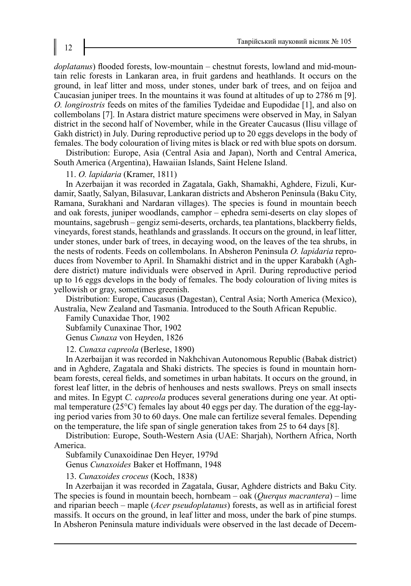*doplatanus*) flooded forests, low-mountain – chestnut forests, lowland and mid-mountain relic forests in Lankaran area, in fruit gardens and heathlands. It occurs on the ground, in leaf litter and moss, under stones, under bark of trees, and on feijoa and Caucasian juniper trees. In the mountains it was found at altitudes of up to 2786 m [9]. *O. longirostris* feeds on mites of the families Tydeidae and Eupodidae [1], and also on collembolans [7]. In Astara district mature specimens were observed in May, in Salyan district in the second half of November, while in the Greater Caucasus (Ilisu village of Gakh district) in July. During reproductive period up to 20 eggs develops in the body of females. The body colouration of living mites is black or red with blue spots on dorsum.

Distribution: Europe, Asia (Central Asia and Japan), North and Central America, South America (Argentina), Hawaiian Islands, Saint Helene Island.

## 11. *O. lapidaria* (Kramer, 1811)

In Azerbaijan it was recorded in Zagatala, Gakh, Shamakhi, Aghdere, Fizuli, Kurdamir, Saatly, Salyan, Bilasuvar, Lankaran districts and Absheron Peninsula (Baku City, Ramana, Surakhani and Nardaran villages). The species is found in mountain beech and oak forests, juniper woodlands, camphor – ephedra semi-deserts on clay slopes of mountains, sagebrush – gengiz semi-deserts, orchards, tea plantations, blackberry fields, vineyards, forest stands, heathlands and grasslands. It occurs on the ground, in leaf litter, under stones, under bark of trees, in decaying wood, on the leaves of the tea shrubs, in the nests of rodents. Feeds on collembolans. In Absheron Peninsula *O. lapidaria* reproduces from November to April. In Shamakhi district and in the upper Karabakh (Aghdere district) mature individuals were observed in April. During reproductive period up to 16 eggs develops in the body of females. The body colouration of living mites is yellowish or gray, sometimes greenish.

Distribution: Europe, Caucasus (Dagestan), Central Asia; North America (Mexico), Australia, New Zealand and Tasmania. Introduced to the South African Republic.

Family Cunaxidae Thor, 1902 Subfamily Cunaxinae Thor, 1902 Genus *Cunaxa* von Heyden, 1826

12. *Cunaxa capreola* (Berlese, 1890)

In Azerbaijan it was recorded in Nakhchivan Autonomous Republic (Babak district) and in Aghdere, Zagatala and Shaki districts. The species is found in mountain hornbeam forests, cereal fields, and sometimes in urban habitats. It occurs on the ground, in forest leaf litter, in the debris of henhouses and nests swallows. Preys on small insects and mites. In Egypt *C. capreola* produces several generations during one year. At optimal temperature (25°C) females lay about 40 eggs per day. The duration of the egg-laying period varies from 30 to 60 days. One male can fertilize several females. Depending on the temperature, the life span of single generation takes from 25 to 64 days [8].

Distribution: Europe, South-Western Asia (UAE: Sharjah), Northern Africa, North America.

Subfamily Cunaxoidinae Den Heyer, 1979d

Genus *Cunaxoides* Baker et Hoffmann, 1948

13. *Cunaxoides croceus* (Koch, 1838)

In Azerbaijan it was recorded in Zagatala, Gusar, Aghdere districts and Baku City. The species is found in mountain beech, hornbeam – oak (*Querqus macrantera*) – lime and riparian beech – maple (*Acer pseudoplatanus*) forests, as well as in artificial forest massifs. It occurs on the ground, in leaf litter and moss, under the bark of pine stumps. In Absheron Peninsula mature individuals were observed in the last decade of Decem-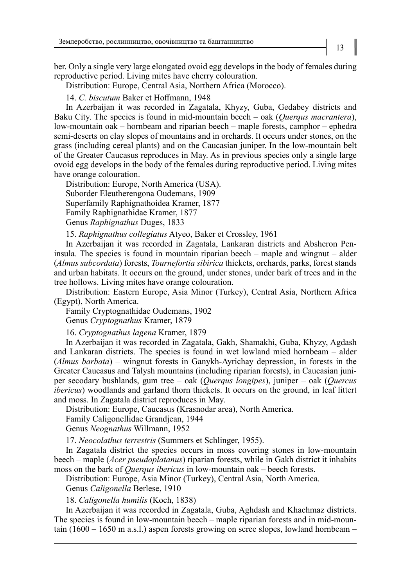ber. Only a single very large elongated ovoid egg develops in the body of females during reproductive period. Living mites have cherry colouration.

Distribution: Europe, Central Asia, Northern Africa (Morocco).

14. *C. biscutum* Baker et Hoffmann, 1948

In Azerbaijan it was recorded in Zagatala, Khyzy, Guba, Gedabey districts and Baku City. The species is found in mid-mountain beech – oak (*Querqus macrantera*), low-mountain oak – hornbeam and riparian beech – maple forests, camphor – ephedra semi-deserts on clay slopes of mountains and in orchards. It occurs under stones, on the grass (including cereal plants) and on the Caucasian juniper. In the low-mountain belt of the Greater Caucasus reproduces in May. As in previous species only a single large ovoid egg develops in the body of the females during reproductive period. Living mites have orange colouration.

Distribution: Europe, North America (USA). Suborder Eleutherengona Oudemans, 1909 Superfamily Raphignathoidea Kramer, 1877 Family Raphignathidae Kramer, 1877 Genus *Raphignathus* Duges, 1833

15. *Raphignathus collegiatus* Atyeo, Baker et Crossley, 1961

In Azerbaijan it was recorded in Zagatala, Lankaran districts and Absheron Peninsula. The species is found in mountain riparian beech – maple and wingnut – alder (*Almus subcordata*) forests, *Tournefortia sibirica* thickets, orchards, parks, forest stands and urban habitats. It occurs on the ground, under stones, under bark of trees and in the tree hollows. Living mites have orange colouration.

Distribution: Eastern Europe, Asia Minor (Turkey), Central Asia, Northern Africa (Egypt), North America.

Family Cryptognathidae Oudemans, 1902

Genus *Cryptognathus* Kramer, 1879

16. *Cryptognathus lagena* Kramer, 1879

In Azerbaijan it was recorded in Zagatala, Gakh, Shamakhi, Guba, Khyzy, Agdash and Lankaran districts. The species is found in wet lowland mied hornbeam – alder (*Almus barbata*) – wingnut forests in Ganykh-Ayrichay depression, in forests in the Greater Caucasus and Talysh mountains (including riparian forests), in Caucasian juniper secodary bushlands, gum tree – oak (*Querqus longipes*), juniper – oak (*Quercus ibericus*) woodlands and garland thorn thickets. It occurs on the ground, in leaf littert and moss. In Zagatala district reproduces in May.

Distribution: Europe, Caucasus (Krasnodar area), North America.

Family Caligonellidae Grandjean, 1944

Genus *Neognathus* Willmann, 1952

17. *Neocolathus terrestris* (Summers et Schlinger, 1955).

In Zagatala district the species occurs in moss covering stones in low-mountain beech – maple (*Acer pseudoplatanus*) riparian forests, while in Gakh district it inhabits moss on the bark of *Querqus ibericus* in low-mountain oak – beech forests.

Distribution: Europe, Asia Minor (Turkey), Central Asia, North America.

Genus *Caligonella* Berlese, 1910

18. *Caligonella humilis* (Koch, 1838)

In Azerbaijan it was recorded in Zagatala, Guba, Aghdash and Khachmaz districts. The species is found in low-mountain beech – maple riparian forests and in mid-mountain  $(1600 - 1650 \text{ m a.s.}!)$  aspen forests growing on scree slopes, lowland hornbeam –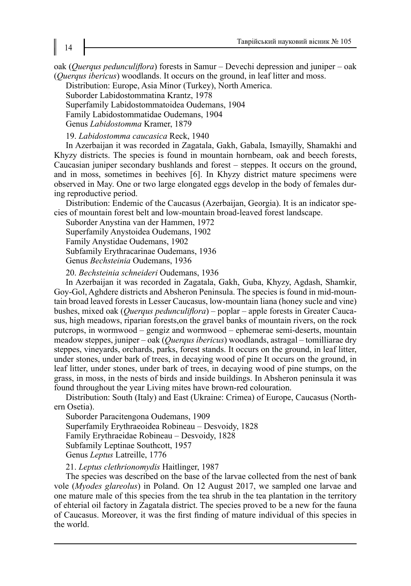oak (*Querqus pedunculiflora*) forests in Samur – Devechi depression and juniper – oak (*Querqus ibericus*) woodlands. It occurs on the ground, in leaf litter and moss.

Distribution: Europe, Asia Minor (Turkey), North America.

Suborder Labidostommatina Krantz, 1978

Superfamily Labidostommatoidea Oudemans, 1904

Family Labidostommatidae Oudemans, 1904

Genus *Labidostomma* Kramer, 1879

19. *Labidostomma caucasica* Reck, 1940

In Azerbaijan it was recorded in Zagatala, Gakh, Gabala, Ismayilly, Shamakhi and Khyzy districts. The species is found in mountain hornbeam, oak and beech forests, Caucasian juniper secondary bushlands and forest – steppes. It occurs on the ground, and in moss, sometimes in beehives [6]. In Khyzy district mature specimens were observed in May. One or two large elongated eggs develop in the body of females during reproductive period.

Distribution: Endemic of the Caucasus (Azerbaijan, Georgia). It is an indicator species of mountain forest belt and low-mountain broad-leaved forest landscape.

Suborder Anystina van der Hammen, 1972

Superfamily Anystoidea Oudemans, 1902

Family Anystidae Oudemans, 1902

Subfamily Erythracarinae Oudemans, 1936

Genus *Bechsteinia* Oudemans, 1936

20. *Bechsteinia schneideri* Oudemans, 1936

In Azerbaijan it was recorded in Zagatala, Gakh, Guba, Khyzy, Agdash, Shamkir, Goy-Gol, Aghdere districts and Absheron Peninsula. The species is found in mid-mountain broad leaved forests in Lesser Caucasus, low-mountain liana (honey sucle and vine) bushes, mixed oak (*Querqus pedunculiflora*) – poplar – apple forests in Greater Caucasus, high meadows, riparian forests,on the gravel banks of mountain rivers, on the rock putcrops, in wormwood – gengiz and wormwood – ephemerae semi-deserts, mountain meadow steppes, juniper – oak (*Querqus ibericus*) woodlands, astragal – tomilliarae dry steppes, vineyards, orchards, parks, forest stands. It occurs on the ground, in leaf litter, under stones, under bark of trees, in decaying wood of pine It occurs on the ground, in leaf litter, under stones, under bark of trees, in decaying wood of pine stumps, on the grass, in moss, in the nests of birds and inside buildings. In Absheron peninsula it was found throughout the year Living mites have brown-red colouration.

Distribution: South (Italy) and East (Ukraine: Crimea) of Europe, Caucasus (Northern Osetia).

Suborder Paracitengona Oudemans, 1909

Superfamily Erythraeoidea Robineau – Desvoidy, 1828

Family Erythraeidae Robineau – Desvoidy, 1828

Subfamily Leptinae Southcott, 1957

Genus *Leptus* Latreille, 1776

21. *Leptus clethrionomydis* Haitlinger, 1987

The species was described on the base of the larvae collected from the nest of bank vole (*Myodes glareolus*) in Poland. On 12 August 2017, we sampled one larvae and one mature male of this species from the tea shrub in the tea plantation in the territory of ehterial oil factory in Zagatala district. The species proved to be a new for the fauna of Caucasus. Moreover, it was the first finding of mature individual of this species in the world.